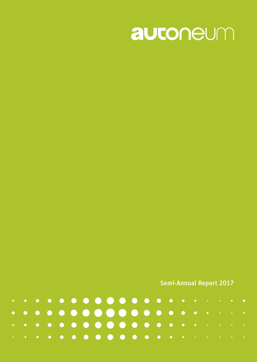

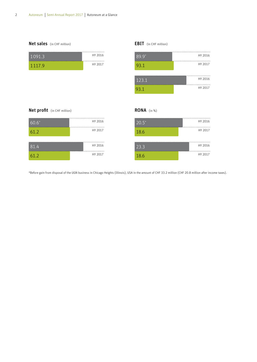



#### EBIT (in CHF million)

RONA (in %)



#### Net profit (in CHF million)

| $60.6*$ | HY 2016 |
|---------|---------|
| 61.2    | HY 2017 |
|         |         |
| 81.4    | HY 2016 |
| 61.2    | HY 2017 |

| $\overline{20.5}^*$ | HY 2016 |
|---------------------|---------|
| 18.6                | HY 2017 |
|                     |         |
| 23.3                | HY 2016 |
| 18.6                | HY 2017 |

\*Before gain from disposal of the UGN business in Chicago Heights (Illinois), USA in the amount of CHF 33.2 million (CHF 20.8 million after income taxes).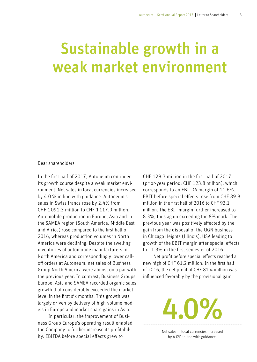# Sustainable growth in a weak market environment

#### Dear shareholders

In the first half of 2017, Autoneum continued its growth course despite a weak market environment. Net sales in local currencies increased by 4.0 % in line with guidance. Autoneum's sales in Swiss francs rose by 2.4% from CHF 1091.3 million to CHF 1117.9 million. Automobile production in Europe, Asia and in the SAMEA region (South America, Middle East and Africa) rose compared to the first half of 2016, whereas production volumes in North America were declining. Despite the swelling inventories of automobile manufacturers in North America and correspondingly lower calloff orders at Autoneum, net sales of Business Group North America were almost on a par with the previous year. In contrast, Business Groups Europe, Asia and SAMEA recorded organic sales growth that considerably exceeded the market level in the first six months. This growth was largely driven by delivery of high-volume models in Europe and market share gains in Asia.

In particular, the improvement of Business Group Europe's operating result enabled the Company to further increase its profitability. EBITDA before special effects grew to

CHF 129.3 million in the first half of 2017 (prior-year period: CHF 123.8 million), which corresponds to an EBITDA margin of 11.6%. EBIT before special effects rose from CHF 89.9 million in the first half of 2016 to CHF 93.1 million. The EBIT margin further increased to 8.3%, thus again exceeding the 8% mark. The previous year was positively affected by the gain from the disposal of the UGN business in Chicago Heights (Illinois), USA leading to growth of the EBIT margin after special effects to 11.3% in the first semester of 2016.

Net profit before special effects reached a new high of CHF 61.2 million. In the first half of 2016, the net profit of CHF 81.4 million was influenced favorably by the provisional gain

> Net sales in local currencies increased by 4.0% in line with guidance.

4.0%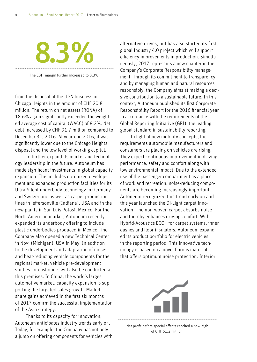# 8.3%

The EBIT margin further increased to 8.3%.

from the disposal of the UGN business in Chicago Heights in the amount of CHF 20.8 million. The return on net assets (RONA) of 18.6% again significantly exceeded the weighted average cost of capital (WACC) of 8.2%. Net debt increased by CHF 91.7 million compared to December 31, 2016. At year-end 2016, it was significantly lower due to the Chicago Heights disposal and the low level of working capital.

To further expand its market and technology leadership in the future, Autoneum has made significant investments in global capacity expansion. This includes optimized development and expanded production facilities for its Ultra-Silent underbody technology in Germany and Switzerland as well as carpet production lines in Jeffersonville (Indiana), USA and in the new plants in San Luis Potosí, Mexico. For the North American market, Autoneum recently expanded its underbody offering to include plastic underbodies produced in Mexico. The Company also opened a new Technical Center in Novi (Michigan), USA in May. In addition to the development and adaptation of noiseand heat-reducing vehicle components for the regional market, vehicle pre-development studies for customers will also be conducted at this premises. In China, the world's largest automotive market, capacity expansion is supporting the targeted sales growth. Market share gains achieved in the first six months of 2017 confirm the successful implementation of the Asia strategy.

Thanks to its capacity for innovation, Autoneum anticipates industry trends early on. Today, for example, the Company has not only a jump on offering components for vehicles with alternative drives, but has also started its first global Industry 4.0 project which will support efficiency improvements in production. Simultaneously, 2017 represents a new chapter in the Company's Corporate Responsibility management. Through its commitment to transparency and by managing human and natural resources responsibly, the Company aims at making a decisive contribution to a sustainable future. In this context, Autoneum published its first Corporate Responsibility Report for the 2016 financial year in accordance with the requirements of the Global Reporting Initiative (GRI), the leading global standard in sustainability reporting.

In light of new mobility concepts, the requirements automobile manufacturers and consumers are placing on vehicles are rising: They expect continuous improvement in driving performance, safety and comfort along with low environmental impact. Due to the extended use of the passenger compartment as a place of work and recreation, noise-reducing components are becoming increasingly important. Autoneum recognized this trend early on and this year launched the Di-Light carpet innovation. The non-woven carpet absorbs noise and thereby enhances driving comfort. With Hybrid-Acoustics ECO+ for carpet systems, inner dashes and floor insulators, Autoneum expanded its product portfolio for electric vehicles in the reporting period. This innovative technology is based on a novel fibrous material that offers optimum noise protection. Interior



Net profit before special effects reached a new high of CHF 61.2 million.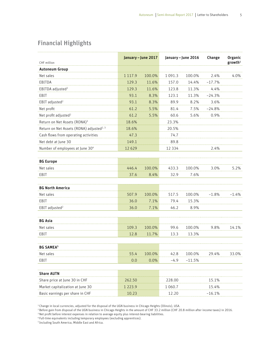# Financial Highlights

| CHF million                                          | January - June 2017 |        | January - June 2016 |          | Change   | Organic<br>growth <sup>1</sup> |
|------------------------------------------------------|---------------------|--------|---------------------|----------|----------|--------------------------------|
| <b>Autoneum Group</b>                                |                     |        |                     |          |          |                                |
| Net sales                                            | 1 1 1 7 . 9         | 100.0% | 1 0 9 1 . 3         | 100.0%   | 2.4%     | 4.0%                           |
| EBITDA                                               | 129.3               | 11.6%  | 157.0               | 14.4%    | $-17.7%$ |                                |
| EBITDA adjusted <sup>2</sup>                         | 129.3               | 11.6%  | 123.8               | 11.3%    | 4.4%     |                                |
| EBIT                                                 | 93.1                | 8.3%   | 123.1               | 11.3%    | $-24.3%$ |                                |
| EBIT adjusted <sup>2</sup>                           | 93.1                | 8.3%   | 89.9                | 8.2%     | 3.6%     |                                |
| Net profit                                           | 61.2                | 5.5%   | 81.4                | 7.5%     | $-24.8%$ |                                |
| Net profit adjusted <sup>2</sup>                     | 61.2                | 5.5%   | 60.6                | 5.6%     | 0.9%     |                                |
| Return on Net Assets (RONA) <sup>3</sup>             | 18.6%               |        | 23.3%               |          |          |                                |
| Return on Net Assets (RONA) adjusted <sup>2, 3</sup> | 18.6%               |        | 20.5%               |          |          |                                |
| Cash flows from operating activities                 | 47.3                |        | 74.7                |          |          |                                |
| Net debt at June 30                                  | 149.1               |        | 89.8                |          |          |                                |
| Number of employees at June 30 <sup>4</sup>          | 12629               |        | 12 3 3 4            |          | 2.4%     |                                |
|                                                      |                     |        |                     |          |          |                                |
| <b>BG Europe</b>                                     |                     |        |                     |          |          |                                |
| Net sales                                            | 446.4               | 100.0% | 433.3               | 100.0%   | 3.0%     | 5.2%                           |
| EBIT                                                 | 37.6                | 8.4%   | 32.9                | 7.6%     |          |                                |
|                                                      |                     |        |                     |          |          |                                |
| <b>BG North America</b>                              |                     |        |                     |          |          |                                |
| Net sales                                            | 507.9               | 100.0% | 517.5               | 100.0%   | $-1.8%$  | $-1.4%$                        |
| EBIT                                                 | 36.0                | 7.1%   | 79.4                | 15.3%    |          |                                |
| EBIT adjusted <sup>2</sup>                           | 36.0                | 7.1%   | 46.2                | 8.9%     |          |                                |
|                                                      |                     |        |                     |          |          |                                |
| <b>BG Asia</b>                                       |                     |        |                     |          |          |                                |
| Net sales                                            | 109.3               | 100.0% | 99.6                | 100.0%   | 9.8%     | 14.1%                          |
| EBIT                                                 | 12.8                | 11.7%  | 13.3                | 13.3%    |          |                                |
|                                                      |                     |        |                     |          |          |                                |
| <b>BG SAMEA<sup>5</sup></b>                          |                     |        |                     |          |          |                                |
| Net sales                                            | 55.4                | 100.0% | 42.8                | 100.0%   | 29.4%    | 33.0%                          |
| EBIT                                                 | 0.0                 | 0.0%   | $-4.9$              | $-11.5%$ |          |                                |
|                                                      |                     |        |                     |          |          |                                |
| <b>Share AUTN</b>                                    |                     |        |                     |          |          |                                |
| Share price at June 30 in CHF                        | 262.50              |        | 228.00              |          | 15.1%    |                                |
| Market capitalization at June 30                     | 1 2 2 3 . 9         |        | 1 060.7             |          | 15.4%    |                                |
| Basic earnings per share in CHF                      | 10.23               |        | 12.20               |          | $-16.1%$ |                                |

1 Change in local currencies, adjusted for the disposal of the UGN business in Chicago Heights (Illinois), USA.

2 Before gain from disposal of the UGN business in Chicago Heights in the amount of CHF 33.2 million (CHF 20.8 million after income taxes) in 2016.

 $^{\rm 3}$  Net profit before interest expenses in relation to average equity plus interest-bearing liabilities.

4 Full-time equivalents including temporary employees (excluding apprentices).

5 Including South America, Middle East and Africa.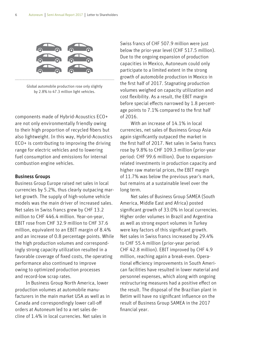

Global automobile production rose only slightly by 2.8% to 47.3 million light vehicles.

components made of Hybrid-Acoustics ECO+ are not only environmentally friendly owing to their high proportion of recycled fibers but also lightweight. In this way, Hybrid-Acoustics ECO+ is contributing to improving the driving range for electric vehicles and to lowering fuel consumption and emissions for internal combustion engine vehicles.

#### Business Groups

Business Group Europe raised net sales in local currencies by 5.2%, thus clearly outpacing market growth. The supply of high-volume vehicle models was the main driver of increased sales. Net sales in Swiss francs grew by CHF 13.2 million to CHF 446.4 million. Year-on-year, EBIT rose from CHF 32.9 million to CHF 37.6 million, equivalent to an EBIT margin of 8.4% and an increase of 0.8 percentage points. While the high production volumes and correspondingly strong capacity utilization resulted in a favorable coverage of fixed costs, the operating performance also continued to improve owing to optimized production processes and record-low scrap rates.

In Business Group North America, lower production volumes at automobile manufacturers in the main market USA as well as in Canada and correspondingly lower call-off orders at Autoneum led to a net sales decline of 1.4% in local currencies. Net sales in

Swiss francs of CHF 507.9 million were just below the prior-year level (CHF 517.5 million). Due to the ongoing expansion of production capacities in Mexico, Autoneum could only participate to a limited extent in the strong growth of automobile production in Mexico in the first half of 2017. Stagnating production volumes weighed on capacity utilization and cost flexibility. As a result, the EBIT margin before special effects narrowed by 1.8 percentage points to 7.1% compared to the first half of 2016.

With an increase of 14.1% in local currencies, net sales of Business Group Asia again significantly outpaced the market in the first half of 2017. Net sales in Swiss francs rose by 9.8% to CHF 109.3 million (prior-year period: CHF 99.6 million). Due to expansionrelated investments in production capacity and higher raw material prices, the EBIT margin of 11.7% was below the previous year's mark, but remains at a sustainable level over the long term.

Net sales of Business Group SAMEA (South America, Middle East and Africa) posted significant growth of 33.0% in local currencies. Higher order volumes in Brazil and Argentina as well as strong export volumes in Turkey were key factors of this significant growth. Net sales in Swiss francs increased by 29.4% to CHF 55.4 million (prior-year period: CHF 42.8 million). EBIT improved by CHF 4.9 million, reaching again a break-even. Operational efficiency improvements in South American facilities have resulted in lower material and personnel expenses, which along with ongoing restructuring measures had a positive effect on the result. The disposal of the Brazilian plant in Betim will have no significant influence on the result of Business Group SAMEA in the 2017 financial year.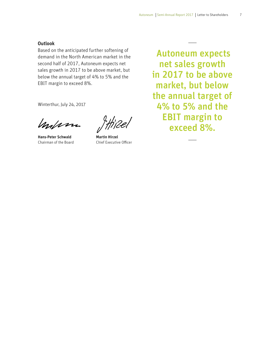7

#### **Outlook**

Based on the anticipated further softening of demand in the North American market in the second half of 2017, Autoneum expects net sales growth in 2017 to be above market, but below the annual target of 4% to 5% and the EBIT margin to exceed 8%.

Winterthur, July 24, 2017

mohm

Hans-Peter Schwald Chairman of the Board

Martin Hirzel Chief Executive Officer

 Autoneum expects net sales growth in 2017 to be above market, but below the annual target of 4% to 5% and the EBIT margin to exceed 8%.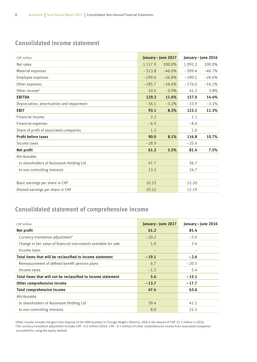# Consolidated income statement

| CHF million                               |             | January - June 2017 |          | January - June 2016 |
|-------------------------------------------|-------------|---------------------|----------|---------------------|
| Net sales                                 | 1 1 1 7 . 9 | 100.0%              | 1091.3   | 100.0%              |
| Material expenses                         | $-513.8$    | $-46.0%$            | $-509.4$ | $-46.7%$            |
| Employee expenses                         | $-299.6$    | $-26.8%$            | $-290.1$ | $-26.6%$            |
| Other expenses                            | $-185.7$    | $-16.6%$            | $-176.0$ | $-16.1%$            |
| Other income <sup>1</sup>                 | 10.5        | 0.9%                | 41.2     | 3.8%                |
| <b>EBITDA</b>                             | 129.3       | 11.6%               | 157.0    | 14.4%               |
| Depreciation, amortization and impairment | $-36.1$     | $-3.2%$             | $-33.9$  | $-3.1%$             |
| <b>EBIT</b>                               | 93.1        | 8.3%                | 123.1    | 11.3%               |
| Financial income                          | 2.2         |                     | 1.1      |                     |
| Financial expenses                        | $-6.5$      |                     | $-8.4$   |                     |
| Share of profit of associated companies   | 1.2         |                     | 1.0      |                     |
| Profit before taxes                       | 90.0        | 8.1%                | 116.8    | 10.7%               |
| Income taxes                              | $-28.9$     |                     | $-35.4$  |                     |
| Net profit                                | 61.2        | 5.5%                | 81.4     | 7.5%                |
| Attributable                              |             |                     |          |                     |
| to shareholders of Autoneum Holding Ltd   | 47.7        |                     | 56.7     |                     |
| to non-controlling interests              | 135         |                     | 24.7     |                     |
|                                           |             |                     |          |                     |
| Basic earnings per share in CHF           | 10.23       |                     | 12.20    |                     |
| Diluted earnings per share in CHF         | 10.22       |                     | 12.19    |                     |

## Consolidated statement of comprehensive income

| CHF million                                                      | January – June 2017 | January – June 2016 |
|------------------------------------------------------------------|---------------------|---------------------|
| Net profit                                                       | 61.2                | 81.4                |
| Currency translation adjustment <sup>2</sup>                     | $-20.2$             | $-5.0$              |
| Change in fair value of financial instruments available for sale | 1 O                 | 24                  |
| Income taxes                                                     |                     |                     |
| Total items that will be reclassified to income statement        | $-19.1$             | $-2.6$              |
| Remeasurement of defined benefit pension plans                   | 6.7                 | $-20.5$             |
| Income taxes                                                     | $-1.3$              | 5.4                 |
| Total items that will not be reclassified to income statement    | 5.4                 | $-15.1$             |
| Other comprehensive income                                       | $-13.7$             | $-17.7$             |
| Total comprehensive income                                       | 47.4                | 63.6                |
| Attributable                                                     |                     |                     |
| to shareholders of Autoneum Holding Ltd                          | 39.4                |                     |
| to non-controlling interests                                     | 8.0                 | 225                 |

‡Other income includes the gain from disposal of the UGN business in Chicago Heights (Illinois), USA in the amount of CHF 33.2 million in 2016.<br><sup>2</sup>The currency translation adjustment includes CHF −0.2 million (2016: CHF − accounted for using the equity method.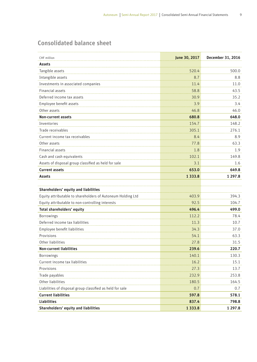# Consolidated balance sheet

| CHF million                                                 | June 30, 2017 | December 31, 2016 |
|-------------------------------------------------------------|---------------|-------------------|
| Assets                                                      |               |                   |
| Tangible assets                                             | 520.4         | 500.0             |
| Intangible assets                                           | 8.7           | 8.8               |
| Investments in associated companies                         | 11.4          | 11.0              |
| Financial assets                                            | 58.8          | 43.5              |
| Deferred income tax assets                                  | 30.9          | 35.2              |
| Employee benefit assets                                     | 3.9           | 3.4               |
| Other assets                                                | 46.8          | 46.0              |
| <b>Non-current assets</b>                                   | 680.8         | 648.0             |
| Inventories                                                 | 154.7         | 148.2             |
| Trade receivables                                           | 305.1         | 276.1             |
| Current income tax receivables                              | 8.4           | 8.9               |
| Other assets                                                | 77.8          | 63.3              |
| Financial assets                                            | 1.8           | 1.9               |
| Cash and cash equivalents                                   | 102.1         | 149.8             |
| Assets of disposal group classified as held for sale        | 3.1           | 1.6               |
| <b>Current assets</b>                                       | 653.0         | 649.8             |
| <b>Assets</b>                                               | 1 3 3 3 . 8   | 1 297.8           |
|                                                             |               |                   |
| Shareholders' equity and liabilities                        |               |                   |
| Equity attributable to shareholders of Autoneum Holding Ltd | 403.9         | 394.3             |
| Equity attributable to non-controlling interests            | 92.5          | 104.7             |
| Total shareholders' equity                                  | 496.4         | 499.0             |
| Borrowings                                                  | 112.2         | 78.4              |
| Deferred income tax liabilities                             | 11.3          | 10.7              |
| Employee benefit liabilities                                | 34.3          | 37.0              |
| Provisions                                                  | 54.1          | 63.3              |
| Other liabilities                                           | 27.8          | 31.5              |
| <b>Non-current liabilities</b>                              | 239.6         | 220.7             |
| <b>Borrowings</b>                                           | 140.1         | 130.3             |
| Current income tax liabilities                              | 16.2          | 15.1              |
| Provisions                                                  | 27.3          | 13.7              |
| Trade payables                                              | 232.9         | 253.8             |
| Other liabilities                                           | 180.5         | 164.5             |
| Liabilities of disposal group classified as held for sale   | 0.7           | 0.7               |
| <b>Current liabilities</b>                                  | 597.8         | 578.1             |
| <b>Liabilities</b>                                          | 837.4         | 798.8             |
| Shareholders' equity and liabilities                        | 1 3 3 3 . 8   | 1 297.8           |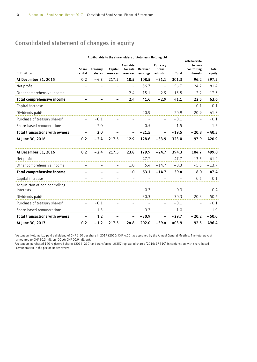# Consolidated statement of changes in equity

|                                             |                   |                    |                     | Attributable to the shareholders of Autoneum Holding Ltd |                      |                                 |         |                                                            |                 |
|---------------------------------------------|-------------------|--------------------|---------------------|----------------------------------------------------------|----------------------|---------------------------------|---------|------------------------------------------------------------|-----------------|
| CHF million                                 | Share<br>capital  | Treasury<br>shares | Capital<br>reserves | Available<br>for sale<br>reserves                        | Retained<br>earnings | Currency<br>transl.<br>adjustm. | Total   | <b>Attributable</b><br>to non-<br>controlling<br>interests | Total<br>equity |
| At December 31, 2015                        | 0.2               | $-4.3$             | 217.5               | 10.5                                                     | 108.5                | $-31.1$                         | 301.3   | 96.2                                                       | 397.5           |
| Net profit                                  |                   |                    |                     |                                                          | 56.7                 | $\overline{a}$                  | 56.7    | 24.7                                                       | 81.4            |
| Other comprehensive income                  |                   |                    |                     | 2.4                                                      | $-15.1$              | $-2.9$                          | $-15.5$ | $-2.2$                                                     | $-17.7$         |
| Total comprehensive income                  |                   |                    |                     | 2.4                                                      | 41.6                 | $-2.9$                          | 41.1    | 22.5                                                       | 63.6            |
| Capital increase                            |                   |                    |                     |                                                          |                      |                                 |         | 0.1                                                        | 0.1             |
| Dividends paid <sup>1</sup>                 |                   |                    |                     |                                                          | $-20.9$              |                                 | - 20.9  | $-20.9$                                                    | $-41.8$         |
| Purchase of treasury shares <sup>2</sup>    |                   | $-0.1$             |                     |                                                          |                      |                                 | $-0.1$  |                                                            | $-0.1$          |
| Share-based remuneration <sup>2</sup>       |                   | 2.0                |                     |                                                          | $-0.5$               |                                 | 1.5     |                                                            | 1.5             |
| <b>Total transactions with owners</b>       | $\qquad \qquad -$ | 2.0                | -                   |                                                          | $-21.5$              | $\qquad \qquad -$               | $-19.5$ | $-20.8$                                                    | $-40.3$         |
| At June 30, 2016                            | 0.2               | $-2.4$             | 217.5               | 12.9                                                     | 128.6                | $-33.9$                         | 323.0   | 97.9                                                       | 420.9           |
|                                             |                   |                    |                     |                                                          |                      |                                 |         |                                                            |                 |
| At December 31, 2016                        | 0.2               | $-2.4$             | 217.5               | 23.8                                                     | 179.9                | $-24.7$                         | 394.3   | 104.7                                                      | 499.0           |
| Net profit                                  |                   |                    |                     |                                                          | 47.7                 |                                 | 47.7    | 13.5                                                       | 61.2            |
| Other comprehensive income                  |                   |                    |                     | 1.0                                                      | 5.4                  | $-14.7$                         | $-8.3$  | $-5.5$                                                     | $-13.7$         |
| Total comprehensive income                  |                   |                    | -                   | 1.0                                                      | 53.1                 | $-14.7$                         | 39.4    | 8.0                                                        | 47.4            |
| Capital increase                            |                   |                    |                     |                                                          |                      |                                 |         | 0.1                                                        | 0.1             |
| Acquisition of non-controlling<br>interests |                   |                    |                     |                                                          | $-0.3$               |                                 | $-0.3$  |                                                            | $-0.4$          |
| Dividends paid $1$                          |                   |                    |                     |                                                          | $-30.3$              |                                 | $-30.3$ | $-20.3$                                                    | $-50.6$         |
| Purchase of treasury shares <sup>2</sup>    |                   | $-0.1$             |                     |                                                          |                      |                                 | $-0.1$  |                                                            | $-0.1$          |
| Share-based remuneration <sup>2</sup>       |                   | 1.3                |                     |                                                          | $-0.3$               |                                 | 1.0     |                                                            | 1.0             |
| <b>Total transactions with owners</b>       |                   | 1.2                |                     |                                                          | $-30.9$              |                                 | $-29.7$ | $-20.2$                                                    | $-50.0$         |
| At June 30, 2017                            | 0.2               | $-1.2$             | 217.5               | 24.8                                                     | 202.0                | $-39.4$                         | 403.9   | 92.5                                                       | 496.4           |

1 Autoneum Holding Ltd paid a dividend of CHF 6.50 per share in 2017 (2016: CHF 4.50) as approved by the Annual General Meeting. The total payout amounted to CHF 30.3 million (2016: CHF 20.9 million).

2 Autoneum purchased 190 registered shares (2016: 210) and transferred 10 257 registered shares (2016: 17 510) in conjunction with share-based remuneration in the period under review.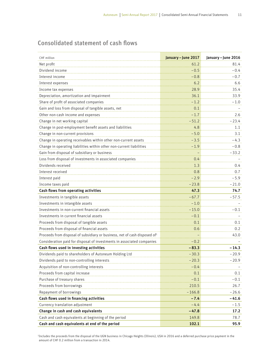# Consolidated statement of cash flows

| CHF million                                                                            | January - June 2017 | January - June 2016 |
|----------------------------------------------------------------------------------------|---------------------|---------------------|
| Net profit                                                                             | 61.2                | 81.4                |
| Dividend income                                                                        | $-0.5$              | $-0.4$              |
| Interest income                                                                        | $-0.8$              | $-0.7$              |
| Interest expenses                                                                      | 6.2                 | 6.6                 |
| Income tax expenses                                                                    | 28.9                | 35.4                |
| Depreciation, amortization and impairment                                              | 36.1                | 33.9                |
| Share of profit of associated companies                                                | $-1.2$              | $-\,1.0$            |
| Gain and loss from disposal of tangible assets, net                                    | 0.1                 |                     |
| Other non-cash income and expenses                                                     | $-1.7$              | 2.6                 |
| Change in net working capital                                                          | $-51.2$             | $-23.4$             |
| Change in post-employment benefit assets and liabilities                               | 4.8                 | 1.1                 |
| Change in non-current provisions                                                       | $-5.0$              | 3.1                 |
| Change in operating receivables within other non-current assets                        | $-3.5$              | $-4.3$              |
| Change in operating liabilities within other non-current liabilities                   | $-1.9$              | $-0.8$              |
| Gain from disposal of subsidiary or business                                           |                     | $-33.2$             |
| Loss from disposal of investments in associated companies                              | 0.4                 |                     |
| Dividends received                                                                     | 1.3                 | 0.4                 |
| Interest received                                                                      | 0.8                 | 0.7                 |
| Interest paid                                                                          | $-2.9$              | $-5.9$              |
| Income taxes paid                                                                      | $-23.8$             | $-21.0$             |
| Cash flows from operating activities                                                   | 47.3                | 74.7                |
| Investments in tangible assets                                                         | $-67.7$             | $-57.5$             |
| Investments in intangible assets                                                       | $-1.0$              |                     |
| Investments in non-current financial assets                                            | $-15.0$             | $-0.1$              |
| Investments in current financial assets                                                | $-0.1$              |                     |
| Proceeds from disposal of tangible assets                                              | 0.1                 | 0.1                 |
| Proceeds from disposal of financial assets                                             | 0.6                 | 0.2                 |
| Proceeds from disposal of subsidiary or business, net of cash disposed of <sup>1</sup> |                     | 43.0                |
| Consideration paid for disposal of investments in associated companies                 | $-0.2$              |                     |
| Cash flows used in investing activities                                                | $-83.3$             | $-14.3$             |
| Dividends paid to shareholders of Autoneum Holding Ltd                                 | $-30.3$             | $-20.9$             |
| Dividends paid to non-controlling interests                                            | $-20.3$             | - 20.9              |
| Acquisition of non-controlling interests                                               | $-0.4$              |                     |
| Proceeds from capital increase                                                         | 0.1                 | 0.1                 |
| Purchase of treasury shares                                                            | $-0.1$              | $-0.1$              |
| Proceeds from borrowings                                                               | 210.5               | 26.7                |
| Repayment of borrowings                                                                | $-166.8$            | $-26.6$             |
| Cash flows used in financing activities                                                | $-7.4$              | -41.6               |
| Currency translation adjustment                                                        | $-4.4$              | $-1.5$              |
| Change in cash and cash equivalents                                                    | $-47.8$             | 17.2                |
| Cash and cash equivalents at beginning of the period                                   | 149.8               | 78.7                |
| Cash and cash equivalents at end of the period                                         | 102.1               | 95.9                |

1 Includes the proceeds from the disposal of the UGN business in Chicago Heights (Illinois), USA in 2016 and a deferred purchase price payment in the amount of CHF 0.2 million from a transaction in 2014.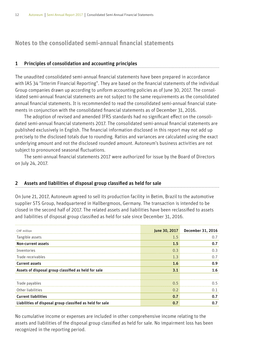### Notes to the consolidated semi-annual financial statements

#### 1 Principles of consolidation and accounting principles

The unaudited consolidated semi-annual financial statements have been prepared in accordance with IAS 34 "Interim Financial Reporting". They are based on the financial statements of the individual Group companies drawn up according to uniform accounting policies as of June 30, 2017. The consolidated semi-annual financial statements are not subject to the same requirements as the consolidated annual financial statements. It is recommended to read the consolidated semi-annual financial statements in conjunction with the consolidated financial statements as of December 31, 2016.

The adoption of revised and amended IFRS standards had no significant effect on the consolidated semi-annual financial statements 2017. The consolidated semi-annual financial statements are published exclusively in English. The financial information disclosed in this report may not add up precisely to the disclosed totals due to rounding. Ratios and variances are calculated using the exact underlying amount and not the disclosed rounded amount. Autoneum's business activities are not subject to pronounced seasonal fluctuations.

The semi-annual financial statements 2017 were authorized for issue by the Board of Directors on July 24, 2017.

#### 2 Assets and liabilities of disposal group classified as held for sale

On June 21, 2017, Autoneum agreed to sell its production facility in Betim, Brazil to the automotive supplier STS Group, headquartered in Hallbergmoos, Germany. The transaction is intended to be closed in the second half of 2017. The related assets and liabilities have been reclassified to assets and liabilities of disposal group classified as held for sale since December 31, 2016.

| CHF million                                               | June 30, 2017  | December 31, 2016 |
|-----------------------------------------------------------|----------------|-------------------|
| Tangible assets                                           | 1.5            | 0.7               |
| Non-current assets                                        | 1.5            | 0.7               |
| Inventories                                               | 0.3            | 0.3               |
| Trade receivables                                         | 1.3            | 0.7               |
| <b>Current assets</b>                                     | 1.6            | 0.9               |
| Assets of disposal group classified as held for sale      | 3.1            | 1.6               |
|                                                           |                |                   |
| Trade payables                                            | 0 <sub>5</sub> |                   |
| Other liabilities                                         | 0 <sub>2</sub> | 0.1               |
| <b>Current liabilities</b>                                | 0.7            | 0.7               |
| Liabilities of disposal group classified as held for sale | 0.7            | 0.7               |

No cumulative income or expenses are included in other comprehensive income relating to the assets and liabilities of the disposal group classified as held for sale. No impairment loss has been recognized in the reporting period.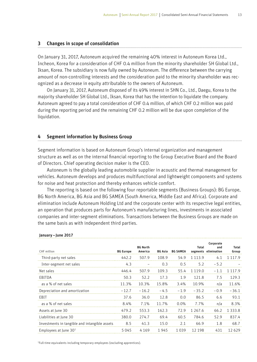#### 3 Changes in scope of consolidation

On January 31, 2017, Autoneum acquired the remaining 40% interest in Autoneum Korea Ltd., Incheon, Korea for a consideration of CHF 0.4 million from the minority shareholder SH Global Ltd., Iksan, Korea. The subsidiary is now fully owned by Autoneum. The difference between the carrying amount of non-controlling interests and the consideration paid to the minority shareholder was recognized as a decrease in equity attributable to the owners of Autoneum.

On January 31, 2017, Autoneum disposed of its 49% interest in SHN Co., Ltd., Daegu, Korea to the majority shareholder SH Global Ltd., Iksan, Korea that has the intention to liquidate the company. Autoneum agreed to pay a total consideration of CHF 0.4 million, of which CHF 0.2 million was paid during the reporting period and the remaining CHF 0.2 million will be due upon completion of the liquidation.

#### 4 Segment information by Business Group

Segment information is based on Autoneum Group's internal organization and management structure as well as on the internal financial reporting to the Group Executive Board and the Board of Directors. Chief operating decision maker is the CEO.

Autoneum is the globally leading automobile supplier in acoustic and thermal management for vehicles. Autoneum develops and produces multifunctional and lightweight components and systems for noise and heat protection and thereby enhances vehicle comfort.

The reporting is based on the following four reportable segments (Business Groups): BG Europe, BG North America, BG Asia and BG SAMEA (South America, Middle East and Africa). Corporate and elimination include Autoneum Holding Ltd and the corporate center with its respective legal entities, an operation that produces parts for Autoneum's manufacturing lines, investments in associated companies and inter-segment eliminations. Transactions between the Business Groups are made on the same basis as with independent third parties.

| CHF million                                   | <b>BG Europe</b> | <b>BG North</b><br>America |        | <b>BG Asia BG SAMEA</b> | Total      | Corporate<br>and<br>segments elimination | Total<br>Group |
|-----------------------------------------------|------------------|----------------------------|--------|-------------------------|------------|------------------------------------------|----------------|
| Third-party net sales                         | 442.2            | 507.9                      | 108.9  | 54.9                    | 1 1 1 3 9  | 4.1                                      |                |
| Inter-segment net sales                       | 4.3              |                            | 0.3    | 0.5                     | 5.2        | $-5.2$                                   |                |
| Net sales                                     | 4464             | 507.9                      | 109.3  | 55.4                    | 11190      |                                          |                |
| EBITDA                                        | 50.3             | 52.2                       | 17.3   | 1.9                     | 121.8      | 7.5                                      | 1293           |
| as a % of net sales                           | 11.3%            | 10.3%                      | 15.8%  | 3.4%                    | 10.9%      | n/a                                      | 11.6%          |
| Depreciation and amortization                 | $-12.7$          | $-16.2$                    | $-4.5$ | $-1.9$                  | $-35.2$    | $-0.9$                                   | $-36.1$        |
| EBIT                                          | 37.6             | 36.0                       | 12.8   | 0.0                     | 86.5       | 6.6                                      | 931            |
| as a % of net sales                           | 84%              | 7.1%                       | 11 7%  | 0. በ%                   | 7.7%       | n/a                                      | 8.3%           |
| Assets at June 30                             | 479.2            | 553.3                      | 162.3  | 729                     | 1 2 6 7 .6 | 66.2                                     | 13338          |
| Liabilities at June 30                        | 380.0            | 2747                       | 69.4   | 60.5                    | 784.6      | 529                                      | 8374           |
| Investments in tangible and intangible assets | 8.5              | 41.3                       | 15.0   | 21                      | 66.9       | 1.8                                      | 68.7           |
| Employees at June $301$                       | 5045             | 4169                       | 1945   | 1 0 3 9                 | 12 198     | 431                                      | 12629          |

#### January – June 2017

1 Full-time equivalents including temporary employees (excluding apprentices).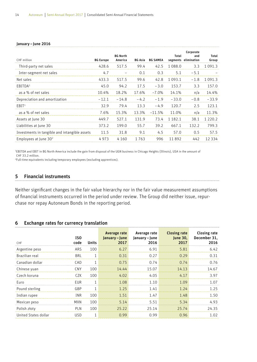#### January – June 2016

| CHF million                                   | <b>BG Europe</b> | <b>BG North</b><br>America |         | BG Asia BG SAMEA | Total       | Corporate<br>and<br>segments elimination | Total<br>Group |
|-----------------------------------------------|------------------|----------------------------|---------|------------------|-------------|------------------------------------------|----------------|
| Third-party net sales                         | 428.6            | 517.5                      | 99.4    | 42.5             | 1 088.0     | 3.3                                      | า กวา จ        |
| Inter-segment net sales                       | 4.7              |                            | 0.1     | 0.3              | 5.1         | $-5.1$                                   |                |
| Net sales                                     | 433.3            | 5175                       | 99.6    | 42.8             | 1 093 1     | $-1.8$                                   |                |
| EBITDA <sup>1</sup>                           | 45.0             | 94.2                       | 175     | $-3.0$           | 153.7       | 3.3                                      | 157 O          |
| as a % of net sales                           | 10.4%            | 18.2%                      | 17.6%   | $-7.0\%$         | 14.1%       | n/a                                      | 14.4%          |
| Depreciation and amortization                 | $-121$           | $-14.8$                    | $-4.2$  | $-1.9$           | $-330$      | $-0.8$                                   | $-339$         |
| $F$ RIT <sup>1</sup>                          | 32.9             | 79.4                       | 13.3    | $-4.9$           | 120.7       | 25                                       | 1231           |
| as a % of net sales                           | 7.6%             | 15.3%                      | 13.3%   | $-11.5%$         | 11.0%       | n/a                                      | 11 3%          |
| Assets at June 30                             | 4497             | 527.1                      | 1319    | 73.4             | 1 1 8 2 . 1 | 38.1                                     | ี่ 1 ววก ว     |
| Liabilities at June 30                        | 373.2            | 199.0                      | 55.7    | 39.2             | 667.1       | 132.2                                    | 7993           |
| Investments in tangible and intangible assets | 11.5             | 31.8                       | 9.1     | 4.5              | 57.0        | O 5                                      | 575            |
| Employees at June 30 <sup>2</sup>             | 4973             | 4 1 6 0                    | 1 7 6 3 | 996              | 11892       | 442                                      | 12334          |

1 EBITDA and EBIT in BG North America include the gain from disposal of the UGN business in Chicago Heights (Illinois), USA in the amount of CHF 33.2 million.

2 Full-time equivalents including temporary employees (excluding apprentices).

#### 5 Financial instruments

Neither significant changes in the fair value hierarchy nor in the fair value measurement assumptions of financial instruments occurred in the period under review. The Group did neither issue, repurchase nor repay Autoneum Bonds in the reporting period.

#### 6 Exchange rates for currency translation

| CHF                  | ISO<br>code | <b>Units</b> | Average rate<br>January - June | Average rate<br>January – June<br>2016 | <b>Closing rate</b> | <b>Closing rate</b><br>June 30, December 31, |
|----------------------|-------------|--------------|--------------------------------|----------------------------------------|---------------------|----------------------------------------------|
| Argentine peso       | ARS.        | 100          | 6.27                           | 691                                    | 5.81                |                                              |
| Brazilian real       | <b>BRI</b>  |              |                                |                                        | - 29                |                                              |
| Canadian dollar      | CAD         |              | 0.75                           | 0.74                                   | 0.74                | በ 76                                         |
| Chinese yuan         | CNY.        | 100.         | 1444                           | 15.07                                  | 14 13               | 14.67                                        |
| Czech koruna         |             | 100          | 402                            | 4 N 5                                  |                     |                                              |
| Euro                 | <b>FIIR</b> |              | 1 በጸ                           | 10                                     | 1 N 9               |                                              |
| Pound sterling       | GBP         |              | 1 25                           | 141                                    | 1, 24               | 175                                          |
| Indian rupee         | INR         | 100          | 151                            | 1.47                                   | 148                 |                                              |
| Mexican peso         |             | 100          | 514                            | 551                                    | 534                 |                                              |
| Polish złoty         | PI N        | 100          | 75.77                          | 25 14                                  | 2574                | 24.35                                        |
| United States dollar | I I S D     |              | N 99                           | N 99                                   | በ 96                |                                              |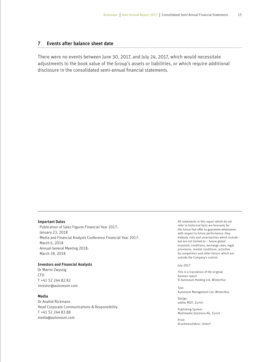#### 7 Events after balance sheet date

There were no events between June 30, 2017, and July 24, 2017, which would necessitate adjustments to the book value of the Group's assets or liabilities, or which require additional disclosure in the consolidated semi-annual financial statements.

#### Important Dates

- ⋅ Publication of Sales Figures Financial Year 2017:
- January 23, 2018
- ⋅ Media and Financial Analysts Conference Financial Year 2017: March 6, 2018
- ⋅ Annual General Meeting 2018: March 28, 2018

#### Investors and Financial Analysts

Dr Martin Zwyssig CFO T +41 52 244 82 82 investor@autoneum.com

#### Media

Dr Anahid Rickmann Head Corporate Communications & Responsibility T +41 52 244 83 88 media@autoneum.com

All statements in this report which do not refer to historical facts are forecasts for the future that offer no guarantee whatsoever with respect to future performance; they embody risks and uncertainties which include – but are not limited to – future global economic conditions, exchange rates, legal provisions, market conditions, activities by competitors and other factors which are outside the Company's control.

#### July 2017

This is a translation of the original German report. © Autoneum Holding Ltd, Winterthur

Text: Autoneum Management Ltd, Winterthur

Design: atelier MUY, Zurich

Publishing System: Multimedia Solutions AG, Zurich

Print: Druckmanufaktur, Urdorf